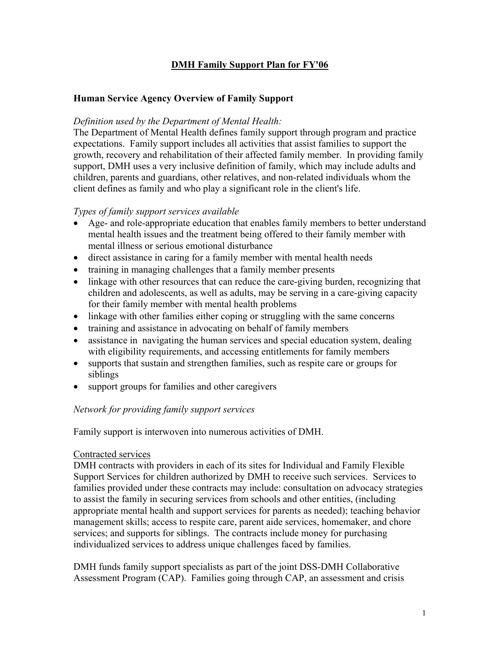## **DMH Family Support Plan for FY'06**

### **Human Service Agency Overview of Family Support**

### *Definition used by the Department of Mental Health:*

The Department of Mental Health defines family support through program and practice expectations. Family support includes all activities that assist families to support the growth, recovery and rehabilitation of their affected family member. In providing family support, DMH uses a very inclusive definition of family, which may include adults and children, parents and guardians, other relatives, and non-related individuals whom the client defines as family and who play a significant role in the client's life.

#### *Types of family support services available*

- Age- and role-appropriate education that enables family members to better understand mental health issues and the treatment being offered to their family member with mental illness or serious emotional disturbance
- direct assistance in caring for a family member with mental health needs
- training in managing challenges that a family member presents
- linkage with other resources that can reduce the care-giving burden, recognizing that children and adolescents, as well as adults, may be serving in a care-giving capacity for their family member with mental health problems
- linkage with other families either coping or struggling with the same concerns
- training and assistance in advocating on behalf of family members
- assistance in navigating the human services and special education system, dealing with eligibility requirements, and accessing entitlements for family members
- supports that sustain and strengthen families, such as respite care or groups for siblings
- support groups for families and other caregivers

### *Network for providing family support services*

Family support is interwoven into numerous activities of DMH.

#### Contracted services

DMH contracts with providers in each of its sites for Individual and Family Flexible Support Services for children authorized by DMH to receive such services. Services to families provided under these contracts may include: consultation on advocacy strategies to assist the family in securing services from schools and other entities, (including appropriate mental health and support services for parents as needed); teaching behavior management skills; access to respite care, parent aide services, homemaker, and chore services; and supports for siblings. The contracts include money for purchasing individualized services to address unique challenges faced by families.

DMH funds family support specialists as part of the joint DSS-DMH Collaborative Assessment Program (CAP). Families going through CAP, an assessment and crisis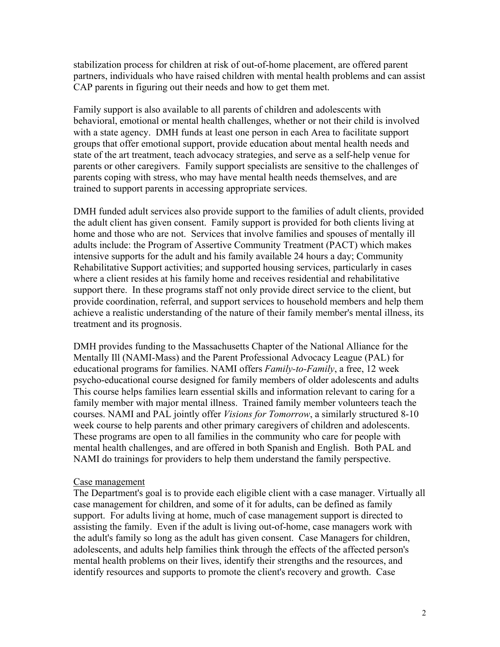stabilization process for children at risk of out-of-home placement, are offered parent partners, individuals who have raised children with mental health problems and can assist CAP parents in figuring out their needs and how to get them met.

Family support is also available to all parents of children and adolescents with behavioral, emotional or mental health challenges, whether or not their child is involved with a state agency. DMH funds at least one person in each Area to facilitate support groups that offer emotional support, provide education about mental health needs and state of the art treatment, teach advocacy strategies, and serve as a self-help venue for parents or other caregivers. Family support specialists are sensitive to the challenges of parents coping with stress, who may have mental health needs themselves, and are trained to support parents in accessing appropriate services.

DMH funded adult services also provide support to the families of adult clients, provided the adult client has given consent. Family support is provided for both clients living at home and those who are not. Services that involve families and spouses of mentally ill adults include: the Program of Assertive Community Treatment (PACT) which makes intensive supports for the adult and his family available 24 hours a day; Community Rehabilitative Support activities; and supported housing services, particularly in cases where a client resides at his family home and receives residential and rehabilitative support there. In these programs staff not only provide direct service to the client, but provide coordination, referral, and support services to household members and help them achieve a realistic understanding of the nature of their family member's mental illness, its treatment and its prognosis.

DMH provides funding to the Massachusetts Chapter of the National Alliance for the Mentally Ill (NAMI-Mass) and the Parent Professional Advocacy League (PAL) for educational programs for families. NAMI offers *Family-to-Family*, a free, 12 week psycho-educational course designed for family members of older adolescents and adults This course helps families learn essential skills and information relevant to caring for a family member with major mental illness. Trained family member volunteers teach the courses. NAMI and PAL jointly offer *Visions for Tomorrow*, a similarly structured 8-10 week course to help parents and other primary caregivers of children and adolescents. These programs are open to all families in the community who care for people with mental health challenges, and are offered in both Spanish and English. Both PAL and NAMI do trainings for providers to help them understand the family perspective.

#### Case management

The Department's goal is to provide each eligible client with a case manager. Virtually all case management for children, and some of it for adults, can be defined as family support. For adults living at home, much of case management support is directed to assisting the family. Even if the adult is living out-of-home, case managers work with the adult's family so long as the adult has given consent. Case Managers for children, adolescents, and adults help families think through the effects of the affected person's mental health problems on their lives, identify their strengths and the resources, and identify resources and supports to promote the client's recovery and growth. Case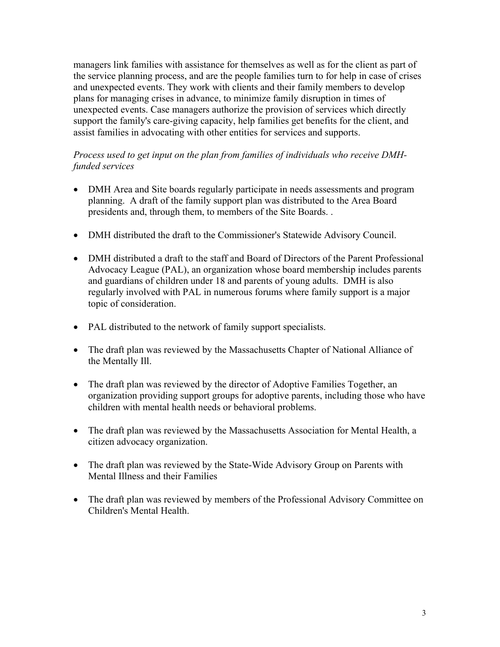managers link families with assistance for themselves as well as for the client as part of the service planning process, and are the people families turn to for help in case of crises and unexpected events. They work with clients and their family members to develop plans for managing crises in advance, to minimize family disruption in times of unexpected events. Case managers authorize the provision of services which directly support the family's care-giving capacity, help families get benefits for the client, and assist families in advocating with other entities for services and supports.

### *Process used to get input on the plan from families of individuals who receive DMHfunded services*

- DMH Area and Site boards regularly participate in needs assessments and program planning. A draft of the family support plan was distributed to the Area Board presidents and, through them, to members of the Site Boards. .
- DMH distributed the draft to the Commissioner's Statewide Advisory Council.
- DMH distributed a draft to the staff and Board of Directors of the Parent Professional Advocacy League (PAL), an organization whose board membership includes parents and guardians of children under 18 and parents of young adults. DMH is also regularly involved with PAL in numerous forums where family support is a major topic of consideration.
- PAL distributed to the network of family support specialists.
- The draft plan was reviewed by the Massachusetts Chapter of National Alliance of the Mentally Ill.
- The draft plan was reviewed by the director of Adoptive Families Together, an organization providing support groups for adoptive parents, including those who have children with mental health needs or behavioral problems.
- The draft plan was reviewed by the Massachusetts Association for Mental Health, a citizen advocacy organization.
- The draft plan was reviewed by the State-Wide Advisory Group on Parents with Mental Illness and their Families
- The draft plan was reviewed by members of the Professional Advisory Committee on Children's Mental Health.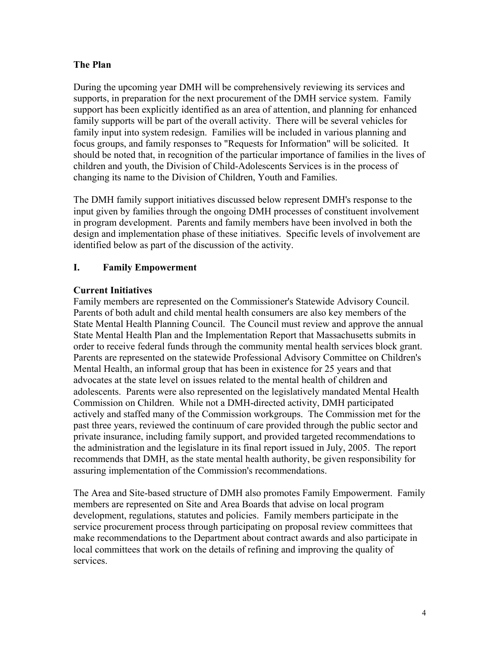### **The Plan**

During the upcoming year DMH will be comprehensively reviewing its services and supports, in preparation for the next procurement of the DMH service system. Family support has been explicitly identified as an area of attention, and planning for enhanced family supports will be part of the overall activity. There will be several vehicles for family input into system redesign. Families will be included in various planning and focus groups, and family responses to "Requests for Information" will be solicited. It should be noted that, in recognition of the particular importance of families in the lives of children and youth, the Division of Child-Adolescents Services is in the process of changing its name to the Division of Children, Youth and Families.

The DMH family support initiatives discussed below represent DMH's response to the input given by families through the ongoing DMH processes of constituent involvement in program development. Parents and family members have been involved in both the design and implementation phase of these initiatives. Specific levels of involvement are identified below as part of the discussion of the activity.

### **I. Family Empowerment**

### **Current Initiatives**

Family members are represented on the Commissioner's Statewide Advisory Council. Parents of both adult and child mental health consumers are also key members of the State Mental Health Planning Council. The Council must review and approve the annual State Mental Health Plan and the Implementation Report that Massachusetts submits in order to receive federal funds through the community mental health services block grant. Parents are represented on the statewide Professional Advisory Committee on Children's Mental Health, an informal group that has been in existence for 25 years and that advocates at the state level on issues related to the mental health of children and adolescents. Parents were also represented on the legislatively mandated Mental Health Commission on Children. While not a DMH-directed activity, DMH participated actively and staffed many of the Commission workgroups. The Commission met for the past three years, reviewed the continuum of care provided through the public sector and private insurance, including family support, and provided targeted recommendations to the administration and the legislature in its final report issued in July, 2005. The report recommends that DMH, as the state mental health authority, be given responsibility for assuring implementation of the Commission's recommendations.

The Area and Site-based structure of DMH also promotes Family Empowerment. Family members are represented on Site and Area Boards that advise on local program development, regulations, statutes and policies. Family members participate in the service procurement process through participating on proposal review committees that make recommendations to the Department about contract awards and also participate in local committees that work on the details of refining and improving the quality of services.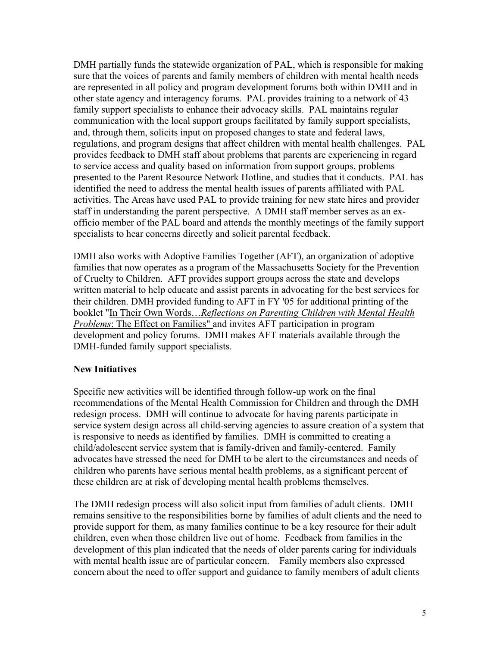DMH partially funds the statewide organization of PAL, which is responsible for making sure that the voices of parents and family members of children with mental health needs are represented in all policy and program development forums both within DMH and in other state agency and interagency forums. PAL provides training to a network of 43 family support specialists to enhance their advocacy skills. PAL maintains regular communication with the local support groups facilitated by family support specialists, and, through them, solicits input on proposed changes to state and federal laws, regulations, and program designs that affect children with mental health challenges. PAL provides feedback to DMH staff about problems that parents are experiencing in regard to service access and quality based on information from support groups, problems presented to the Parent Resource Network Hotline, and studies that it conducts. PAL has identified the need to address the mental health issues of parents affiliated with PAL activities. The Areas have used PAL to provide training for new state hires and provider staff in understanding the parent perspective. A DMH staff member serves as an exofficio member of the PAL board and attends the monthly meetings of the family support specialists to hear concerns directly and solicit parental feedback.

DMH also works with Adoptive Families Together (AFT), an organization of adoptive families that now operates as a program of the Massachusetts Society for the Prevention of Cruelty to Children. AFT provides support groups across the state and develops written material to help educate and assist parents in advocating for the best services for their children. DMH provided funding to AFT in FY '05 for additional printing of the booklet "In Their Own Words…*Reflections on Parenting Children with Mental Health Problems*: The Effect on Families" and invites AFT participation in program development and policy forums. DMH makes AFT materials available through the DMH-funded family support specialists.

#### **New Initiatives**

Specific new activities will be identified through follow-up work on the final recommendations of the Mental Health Commission for Children and through the DMH redesign process. DMH will continue to advocate for having parents participate in service system design across all child-serving agencies to assure creation of a system that is responsive to needs as identified by families. DMH is committed to creating a child/adolescent service system that is family-driven and family-centered. Family advocates have stressed the need for DMH to be alert to the circumstances and needs of children who parents have serious mental health problems, as a significant percent of these children are at risk of developing mental health problems themselves.

The DMH redesign process will also solicit input from families of adult clients. DMH remains sensitive to the responsibilities borne by families of adult clients and the need to provide support for them, as many families continue to be a key resource for their adult children, even when those children live out of home. Feedback from families in the development of this plan indicated that the needs of older parents caring for individuals with mental health issue are of particular concern. Family members also expressed concern about the need to offer support and guidance to family members of adult clients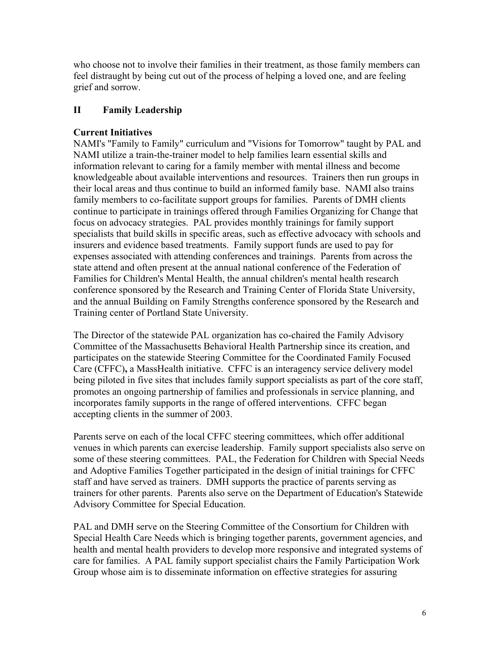who choose not to involve their families in their treatment, as those family members can feel distraught by being cut out of the process of helping a loved one, and are feeling grief and sorrow.

# **II Family Leadership**

# **Current Initiatives**

NAMI's "Family to Family" curriculum and "Visions for Tomorrow" taught by PAL and NAMI utilize a train-the-trainer model to help families learn essential skills and information relevant to caring for a family member with mental illness and become knowledgeable about available interventions and resources. Trainers then run groups in their local areas and thus continue to build an informed family base. NAMI also trains family members to co-facilitate support groups for families. Parents of DMH clients continue to participate in trainings offered through Families Organizing for Change that focus on advocacy strategies. PAL provides monthly trainings for family support specialists that build skills in specific areas, such as effective advocacy with schools and insurers and evidence based treatments. Family support funds are used to pay for expenses associated with attending conferences and trainings. Parents from across the state attend and often present at the annual national conference of the Federation of Families for Children's Mental Health, the annual children's mental health research conference sponsored by the Research and Training Center of Florida State University, and the annual Building on Family Strengths conference sponsored by the Research and Training center of Portland State University.

The Director of the statewide PAL organization has co-chaired the Family Advisory Committee of the Massachusetts Behavioral Health Partnership since its creation, and participates on the statewide Steering Committee for the Coordinated Family Focused Care (CFFC)**,** a MassHealth initiative. CFFC is an interagency service delivery model being piloted in five sites that includes family support specialists as part of the core staff, promotes an ongoing partnership of families and professionals in service planning, and incorporates family supports in the range of offered interventions. CFFC began accepting clients in the summer of 2003.

Parents serve on each of the local CFFC steering committees, which offer additional venues in which parents can exercise leadership. Family support specialists also serve on some of these steering committees. PAL, the Federation for Children with Special Needs and Adoptive Families Together participated in the design of initial trainings for CFFC staff and have served as trainers. DMH supports the practice of parents serving as trainers for other parents. Parents also serve on the Department of Education's Statewide Advisory Committee for Special Education.

PAL and DMH serve on the Steering Committee of the Consortium for Children with Special Health Care Needs which is bringing together parents, government agencies, and health and mental health providers to develop more responsive and integrated systems of care for families. A PAL family support specialist chairs the Family Participation Work Group whose aim is to disseminate information on effective strategies for assuring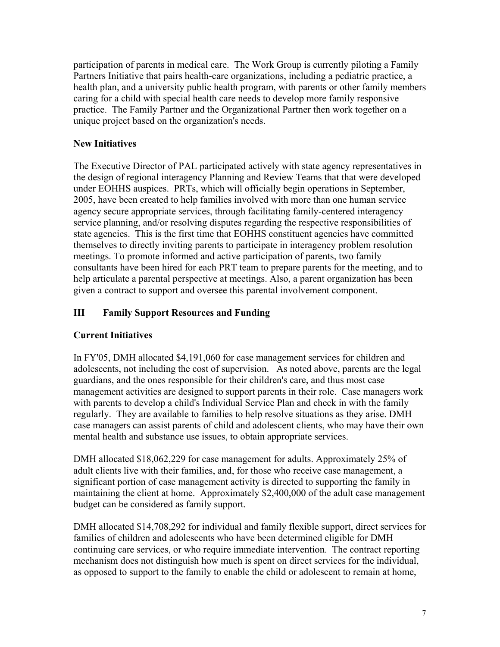participation of parents in medical care. The Work Group is currently piloting a Family Partners Initiative that pairs health-care organizations, including a pediatric practice, a health plan, and a university public health program, with parents or other family members caring for a child with special health care needs to develop more family responsive practice. The Family Partner and the Organizational Partner then work together on a unique project based on the organization's needs.

## **New Initiatives**

The Executive Director of PAL participated actively with state agency representatives in the design of regional interagency Planning and Review Teams that that were developed under EOHHS auspices. PRTs, which will officially begin operations in September, 2005, have been created to help families involved with more than one human service agency secure appropriate services, through facilitating family-centered interagency service planning, and/or resolving disputes regarding the respective responsibilities of state agencies. This is the first time that EOHHS constituent agencies have committed themselves to directly inviting parents to participate in interagency problem resolution meetings. To promote informed and active participation of parents, two family consultants have been hired for each PRT team to prepare parents for the meeting, and to help articulate a parental perspective at meetings. Also, a parent organization has been given a contract to support and oversee this parental involvement component.

# **III Family Support Resources and Funding**

# **Current Initiatives**

In FY'05, DMH allocated \$4,191,060 for case management services for children and adolescents, not including the cost of supervision. As noted above, parents are the legal guardians, and the ones responsible for their children's care, and thus most case management activities are designed to support parents in their role. Case managers work with parents to develop a child's Individual Service Plan and check in with the family regularly. They are available to families to help resolve situations as they arise. DMH case managers can assist parents of child and adolescent clients, who may have their own mental health and substance use issues, to obtain appropriate services.

DMH allocated \$18,062,229 for case management for adults. Approximately 25% of adult clients live with their families, and, for those who receive case management, a significant portion of case management activity is directed to supporting the family in maintaining the client at home. Approximately \$2,400,000 of the adult case management budget can be considered as family support.

DMH allocated \$14,708,292 for individual and family flexible support, direct services for families of children and adolescents who have been determined eligible for DMH continuing care services, or who require immediate intervention. The contract reporting mechanism does not distinguish how much is spent on direct services for the individual, as opposed to support to the family to enable the child or adolescent to remain at home,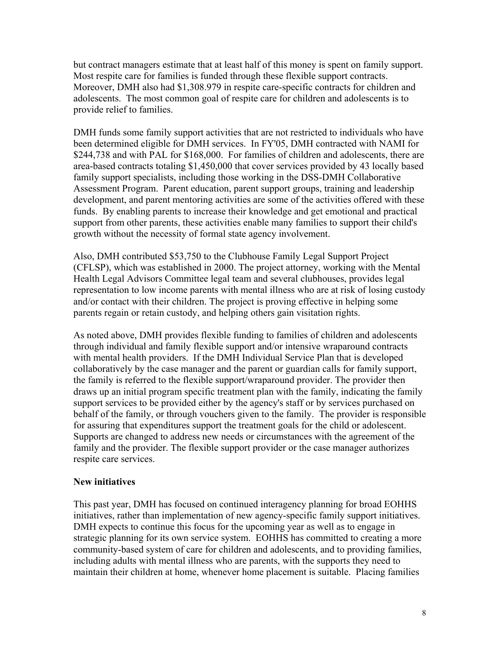but contract managers estimate that at least half of this money is spent on family support. Most respite care for families is funded through these flexible support contracts. Moreover, DMH also had \$1,308.979 in respite care-specific contracts for children and adolescents. The most common goal of respite care for children and adolescents is to provide relief to families.

DMH funds some family support activities that are not restricted to individuals who have been determined eligible for DMH services. In FY'05, DMH contracted with NAMI for \$244,738 and with PAL for \$168,000. For families of children and adolescents, there are area-based contracts totaling \$1,450,000 that cover services provided by 43 locally based family support specialists, including those working in the DSS-DMH Collaborative Assessment Program. Parent education, parent support groups, training and leadership development, and parent mentoring activities are some of the activities offered with these funds. By enabling parents to increase their knowledge and get emotional and practical support from other parents, these activities enable many families to support their child's growth without the necessity of formal state agency involvement.

Also, DMH contributed \$53,750 to the Clubhouse Family Legal Support Project (CFLSP), which was established in 2000. The project attorney, working with the Mental Health Legal Advisors Committee legal team and several clubhouses, provides legal representation to low income parents with mental illness who are at risk of losing custody and/or contact with their children. The project is proving effective in helping some parents regain or retain custody, and helping others gain visitation rights.

As noted above, DMH provides flexible funding to families of children and adolescents through individual and family flexible support and/or intensive wraparound contracts with mental health providers. If the DMH Individual Service Plan that is developed collaboratively by the case manager and the parent or guardian calls for family support, the family is referred to the flexible support/wraparound provider. The provider then draws up an initial program specific treatment plan with the family, indicating the family support services to be provided either by the agency's staff or by services purchased on behalf of the family, or through vouchers given to the family. The provider is responsible for assuring that expenditures support the treatment goals for the child or adolescent. Supports are changed to address new needs or circumstances with the agreement of the family and the provider. The flexible support provider or the case manager authorizes respite care services.

#### **New initiatives**

This past year, DMH has focused on continued interagency planning for broad EOHHS initiatives, rather than implementation of new agency-specific family support initiatives. DMH expects to continue this focus for the upcoming year as well as to engage in strategic planning for its own service system. EOHHS has committed to creating a more community-based system of care for children and adolescents, and to providing families, including adults with mental illness who are parents, with the supports they need to maintain their children at home, whenever home placement is suitable. Placing families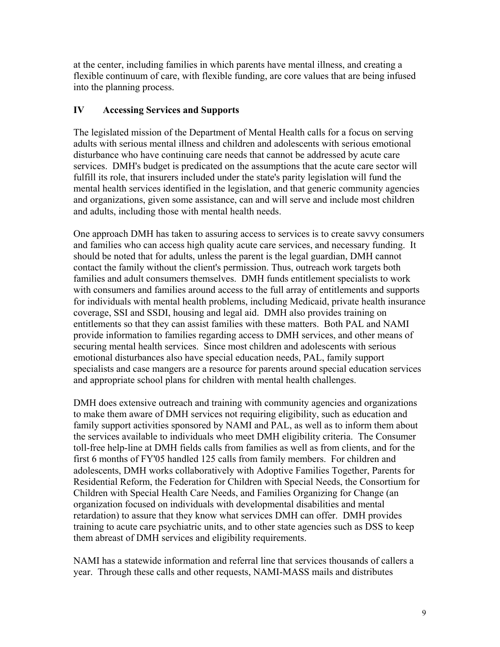at the center, including families in which parents have mental illness, and creating a flexible continuum of care, with flexible funding, are core values that are being infused into the planning process.

### **IV Accessing Services and Supports**

The legislated mission of the Department of Mental Health calls for a focus on serving adults with serious mental illness and children and adolescents with serious emotional disturbance who have continuing care needs that cannot be addressed by acute care services. DMH's budget is predicated on the assumptions that the acute care sector will fulfill its role, that insurers included under the state's parity legislation will fund the mental health services identified in the legislation, and that generic community agencies and organizations, given some assistance, can and will serve and include most children and adults, including those with mental health needs.

One approach DMH has taken to assuring access to services is to create savvy consumers and families who can access high quality acute care services, and necessary funding. It should be noted that for adults, unless the parent is the legal guardian, DMH cannot contact the family without the client's permission. Thus, outreach work targets both families and adult consumers themselves. DMH funds entitlement specialists to work with consumers and families around access to the full array of entitlements and supports for individuals with mental health problems, including Medicaid, private health insurance coverage, SSI and SSDI, housing and legal aid. DMH also provides training on entitlements so that they can assist families with these matters. Both PAL and NAMI provide information to families regarding access to DMH services, and other means of securing mental health services. Since most children and adolescents with serious emotional disturbances also have special education needs, PAL, family support specialists and case mangers are a resource for parents around special education services and appropriate school plans for children with mental health challenges.

DMH does extensive outreach and training with community agencies and organizations to make them aware of DMH services not requiring eligibility, such as education and family support activities sponsored by NAMI and PAL, as well as to inform them about the services available to individuals who meet DMH eligibility criteria. The Consumer toll-free help-line at DMH fields calls from families as well as from clients, and for the first 6 months of FY'05 handled 125 calls from family members. For children and adolescents, DMH works collaboratively with Adoptive Families Together, Parents for Residential Reform, the Federation for Children with Special Needs, the Consortium for Children with Special Health Care Needs, and Families Organizing for Change (an organization focused on individuals with developmental disabilities and mental retardation) to assure that they know what services DMH can offer. DMH provides training to acute care psychiatric units, and to other state agencies such as DSS to keep them abreast of DMH services and eligibility requirements.

NAMI has a statewide information and referral line that services thousands of callers a year. Through these calls and other requests, NAMI-MASS mails and distributes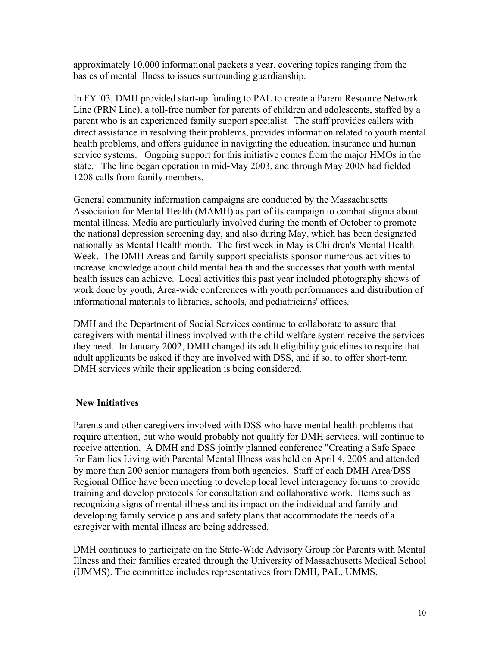approximately 10,000 informational packets a year, covering topics ranging from the basics of mental illness to issues surrounding guardianship.

In FY '03, DMH provided start-up funding to PAL to create a Parent Resource Network Line (PRN Line), a toll-free number for parents of children and adolescents, staffed by a parent who is an experienced family support specialist. The staff provides callers with direct assistance in resolving their problems, provides information related to youth mental health problems, and offers guidance in navigating the education, insurance and human service systems. Ongoing support for this initiative comes from the major HMOs in the state. The line began operation in mid-May 2003, and through May 2005 had fielded 1208 calls from family members.

General community information campaigns are conducted by the Massachusetts Association for Mental Health (MAMH) as part of its campaign to combat stigma about mental illness. Media are particularly involved during the month of October to promote the national depression screening day, and also during May, which has been designated nationally as Mental Health month. The first week in May is Children's Mental Health Week. The DMH Areas and family support specialists sponsor numerous activities to increase knowledge about child mental health and the successes that youth with mental health issues can achieve. Local activities this past year included photography shows of work done by youth, Area-wide conferences with youth performances and distribution of informational materials to libraries, schools, and pediatricians' offices.

DMH and the Department of Social Services continue to collaborate to assure that caregivers with mental illness involved with the child welfare system receive the services they need. In January 2002, DMH changed its adult eligibility guidelines to require that adult applicants be asked if they are involved with DSS, and if so, to offer short-term DMH services while their application is being considered.

### **New Initiatives**

Parents and other caregivers involved with DSS who have mental health problems that require attention, but who would probably not qualify for DMH services, will continue to receive attention. A DMH and DSS jointly planned conference "Creating a Safe Space for Families Living with Parental Mental Illness was held on April 4, 2005 and attended by more than 200 senior managers from both agencies. Staff of each DMH Area/DSS Regional Office have been meeting to develop local level interagency forums to provide training and develop protocols for consultation and collaborative work. Items such as recognizing signs of mental illness and its impact on the individual and family and developing family service plans and safety plans that accommodate the needs of a caregiver with mental illness are being addressed.

DMH continues to participate on the State-Wide Advisory Group for Parents with Mental Illness and their families created through the University of Massachusetts Medical School (UMMS). The committee includes representatives from DMH, PAL, UMMS,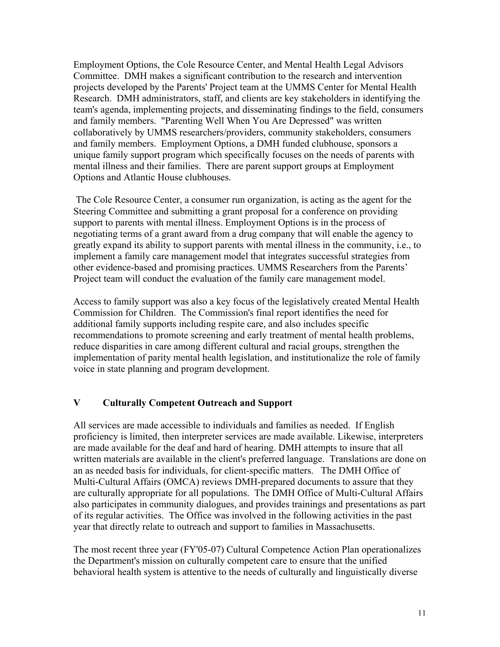Employment Options, the Cole Resource Center, and Mental Health Legal Advisors Committee. DMH makes a significant contribution to the research and intervention projects developed by the Parents' Project team at the UMMS Center for Mental Health Research. DMH administrators, staff, and clients are key stakeholders in identifying the team's agenda, implementing projects, and disseminating findings to the field, consumers and family members. "Parenting Well When You Are Depressed" was written collaboratively by UMMS researchers/providers, community stakeholders, consumers and family members. Employment Options, a DMH funded clubhouse, sponsors a unique family support program which specifically focuses on the needs of parents with mental illness and their families. There are parent support groups at Employment Options and Atlantic House clubhouses.

 The Cole Resource Center, a consumer run organization, is acting as the agent for the Steering Committee and submitting a grant proposal for a conference on providing support to parents with mental illness. Employment Options is in the process of negotiating terms of a grant award from a drug company that will enable the agency to greatly expand its ability to support parents with mental illness in the community, i.e., to implement a family care management model that integrates successful strategies from other evidence-based and promising practices. UMMS Researchers from the Parents' Project team will conduct the evaluation of the family care management model.

Access to family support was also a key focus of the legislatively created Mental Health Commission for Children. The Commission's final report identifies the need for additional family supports including respite care, and also includes specific recommendations to promote screening and early treatment of mental health problems, reduce disparities in care among different cultural and racial groups, strengthen the implementation of parity mental health legislation, and institutionalize the role of family voice in state planning and program development.

### **V Culturally Competent Outreach and Support**

All services are made accessible to individuals and families as needed. If English proficiency is limited, then interpreter services are made available. Likewise, interpreters are made available for the deaf and hard of hearing. DMH attempts to insure that all written materials are available in the client's preferred language. Translations are done on an as needed basis for individuals, for client-specific matters. The DMH Office of Multi-Cultural Affairs (OMCA) reviews DMH-prepared documents to assure that they are culturally appropriate for all populations. The DMH Office of Multi-Cultural Affairs also participates in community dialogues, and provides trainings and presentations as part of its regular activities. The Office was involved in the following activities in the past year that directly relate to outreach and support to families in Massachusetts.

The most recent three year (FY'05-07) Cultural Competence Action Plan operationalizes the Department's mission on culturally competent care to ensure that the unified behavioral health system is attentive to the needs of culturally and linguistically diverse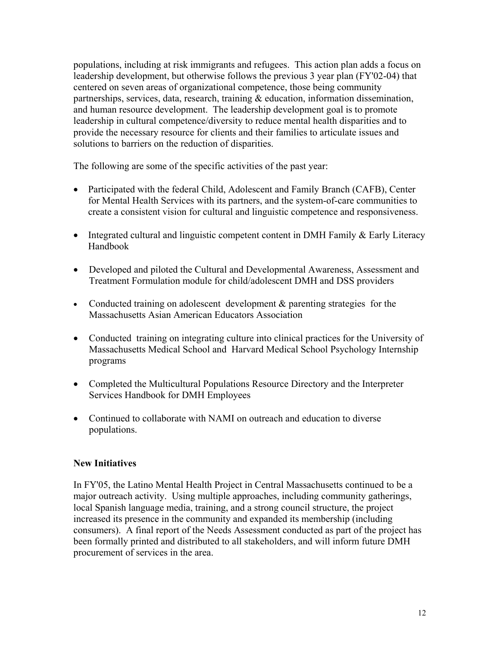populations, including at risk immigrants and refugees. This action plan adds a focus on leadership development, but otherwise follows the previous 3 year plan (FY'02-04) that centered on seven areas of organizational competence, those being community partnerships, services, data, research, training & education, information dissemination, and human resource development. The leadership development goal is to promote leadership in cultural competence/diversity to reduce mental health disparities and to provide the necessary resource for clients and their families to articulate issues and solutions to barriers on the reduction of disparities.

The following are some of the specific activities of the past year:

- Participated with the federal Child, Adolescent and Family Branch (CAFB), Center for Mental Health Services with its partners, and the system-of-care communities to create a consistent vision for cultural and linguistic competence and responsiveness.
- Integrated cultural and linguistic competent content in DMH Family  $\&$  Early Literacy Handbook
- Developed and piloted the Cultural and Developmental Awareness, Assessment and Treatment Formulation module for child/adolescent DMH and DSS providers
- Conducted training on adolescent development & parenting strategies for the Massachusetts Asian American Educators Association
- Conducted training on integrating culture into clinical practices for the University of Massachusetts Medical School and Harvard Medical School Psychology Internship programs
- Completed the Multicultural Populations Resource Directory and the Interpreter Services Handbook for DMH Employees
- Continued to collaborate with NAMI on outreach and education to diverse populations.

### **New Initiatives**

In FY'05, the Latino Mental Health Project in Central Massachusetts continued to be a major outreach activity. Using multiple approaches, including community gatherings, local Spanish language media, training, and a strong council structure, the project increased its presence in the community and expanded its membership (including consumers). A final report of the Needs Assessment conducted as part of the project has been formally printed and distributed to all stakeholders, and will inform future DMH procurement of services in the area.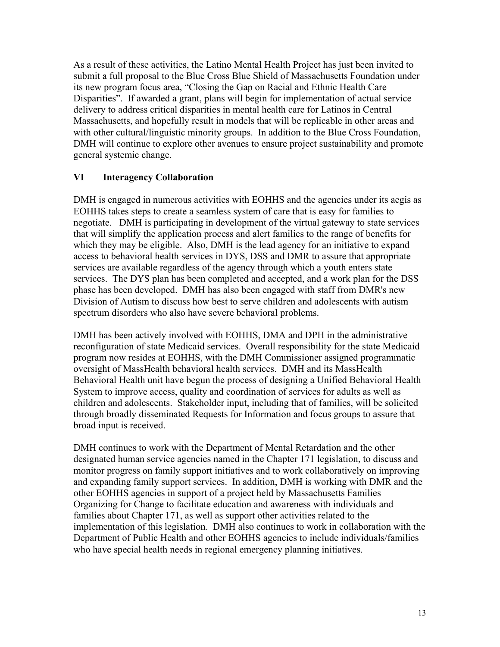As a result of these activities, the Latino Mental Health Project has just been invited to submit a full proposal to the Blue Cross Blue Shield of Massachusetts Foundation under its new program focus area, "Closing the Gap on Racial and Ethnic Health Care Disparities". If awarded a grant, plans will begin for implementation of actual service delivery to address critical disparities in mental health care for Latinos in Central Massachusetts, and hopefully result in models that will be replicable in other areas and with other cultural/linguistic minority groups. In addition to the Blue Cross Foundation, DMH will continue to explore other avenues to ensure project sustainability and promote general systemic change.

### **VI Interagency Collaboration**

DMH is engaged in numerous activities with EOHHS and the agencies under its aegis as EOHHS takes steps to create a seamless system of care that is easy for families to negotiate. DMH is participating in development of the virtual gateway to state services that will simplify the application process and alert families to the range of benefits for which they may be eligible. Also, DMH is the lead agency for an initiative to expand access to behavioral health services in DYS, DSS and DMR to assure that appropriate services are available regardless of the agency through which a youth enters state services. The DYS plan has been completed and accepted, and a work plan for the DSS phase has been developed. DMH has also been engaged with staff from DMR's new Division of Autism to discuss how best to serve children and adolescents with autism spectrum disorders who also have severe behavioral problems.

DMH has been actively involved with EOHHS, DMA and DPH in the administrative reconfiguration of state Medicaid services. Overall responsibility for the state Medicaid program now resides at EOHHS, with the DMH Commissioner assigned programmatic oversight of MassHealth behavioral health services. DMH and its MassHealth Behavioral Health unit have begun the process of designing a Unified Behavioral Health System to improve access, quality and coordination of services for adults as well as children and adolescents. Stakeholder input, including that of families, will be solicited through broadly disseminated Requests for Information and focus groups to assure that broad input is received.

DMH continues to work with the Department of Mental Retardation and the other designated human service agencies named in the Chapter 171 legislation, to discuss and monitor progress on family support initiatives and to work collaboratively on improving and expanding family support services. In addition, DMH is working with DMR and the other EOHHS agencies in support of a project held by Massachusetts Families Organizing for Change to facilitate education and awareness with individuals and families about Chapter 171, as well as support other activities related to the implementation of this legislation. DMH also continues to work in collaboration with the Department of Public Health and other EOHHS agencies to include individuals/families who have special health needs in regional emergency planning initiatives.